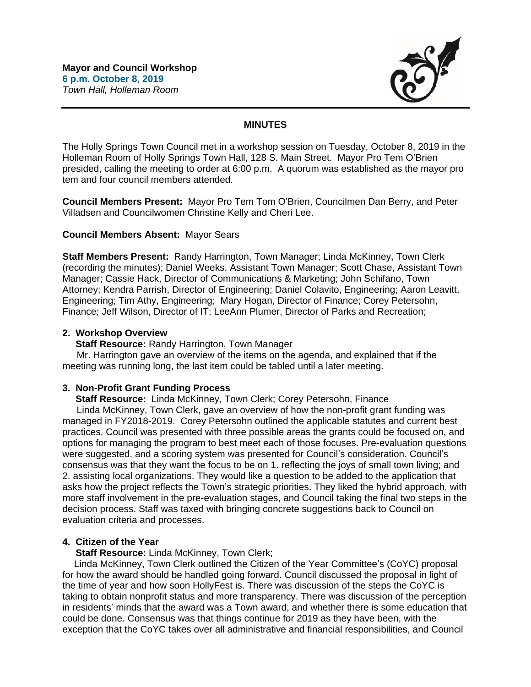

# **MINUTES**

The Holly Springs Town Council met in a workshop session on Tuesday, October 8, 2019 in the Holleman Room of Holly Springs Town Hall, 128 S. Main Street. Mayor Pro Tem O'Brien presided, calling the meeting to order at 6:00 p.m. A quorum was established as the mayor pro tem and four council members attended.

**Council Members Present:** Mayor Pro Tem Tom O'Brien, Councilmen Dan Berry, and Peter Villadsen and Councilwomen Christine Kelly and Cheri Lee.

### **Council Members Absent:** Mayor Sears

**Staff Members Present:** Randy Harrington, Town Manager; Linda McKinney, Town Clerk (recording the minutes); Daniel Weeks, Assistant Town Manager; Scott Chase, Assistant Town Manager; Cassie Hack, Director of Communications & Marketing; John Schifano, Town Attorney; Kendra Parrish, Director of Engineering; Daniel Colavito, Engineering; Aaron Leavitt, Engineering; Tim Athy, Engineering; Mary Hogan, Director of Finance; Corey Petersohn, Finance; Jeff Wilson, Director of IT; LeeAnn Plumer, Director of Parks and Recreation;

### **2. Workshop Overview**

**Staff Resource:** Randy Harrington, Town Manager

 Mr. Harrington gave an overview of the items on the agenda, and explained that if the meeting was running long, the last item could be tabled until a later meeting.

## **3. Non-Profit Grant Funding Process**

 **Staff Resource:** Linda McKinney, Town Clerk; Corey Petersohn, Finance

 Linda McKinney, Town Clerk, gave an overview of how the non-profit grant funding was managed in FY2018-2019. Corey Petersohn outlined the applicable statutes and current best practices. Council was presented with three possible areas the grants could be focused on, and options for managing the program to best meet each of those focuses. Pre-evaluation questions were suggested, and a scoring system was presented for Council's consideration. Council's consensus was that they want the focus to be on 1. reflecting the joys of small town living; and 2. assisting local organizations. They would like a question to be added to the application that asks how the project reflects the Town's strategic priorities. They liked the hybrid approach, with more staff involvement in the pre-evaluation stages, and Council taking the final two steps in the decision process. Staff was taxed with bringing concrete suggestions back to Council on evaluation criteria and processes.

## **4. Citizen of the Year**

 **Staff Resource:** Linda McKinney, Town Clerk;

Linda McKinney, Town Clerk outlined the Citizen of the Year Committee's (CoYC) proposal for how the award should be handled going forward. Council discussed the proposal in light of the time of year and how soon HollyFest is. There was discussion of the steps the CoYC is taking to obtain nonprofit status and more transparency. There was discussion of the perception in residents' minds that the award was a Town award, and whether there is some education that could be done. Consensus was that things continue for 2019 as they have been, with the exception that the CoYC takes over all administrative and financial responsibilities, and Council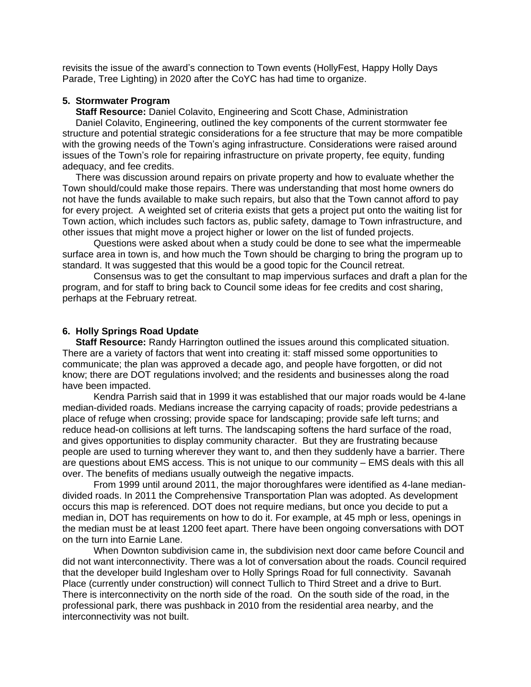revisits the issue of the award's connection to Town events (HollyFest, Happy Holly Days Parade, Tree Lighting) in 2020 after the CoYC has had time to organize.

### **5. Stormwater Program**

 **Staff Resource:** Daniel Colavito, Engineering and Scott Chase, Administration

 Daniel Colavito, Engineering, outlined the key components of the current stormwater fee structure and potential strategic considerations for a fee structure that may be more compatible with the growing needs of the Town's aging infrastructure. Considerations were raised around issues of the Town's role for repairing infrastructure on private property, fee equity, funding adequacy, and fee credits.

 There was discussion around repairs on private property and how to evaluate whether the Town should/could make those repairs. There was understanding that most home owners do not have the funds available to make such repairs, but also that the Town cannot afford to pay for every project. A weighted set of criteria exists that gets a project put onto the waiting list for Town action, which includes such factors as, public safety, damage to Town infrastructure, and other issues that might move a project higher or lower on the list of funded projects.

Questions were asked about when a study could be done to see what the impermeable surface area in town is, and how much the Town should be charging to bring the program up to standard. It was suggested that this would be a good topic for the Council retreat.

Consensus was to get the consultant to map impervious surfaces and draft a plan for the program, and for staff to bring back to Council some ideas for fee credits and cost sharing, perhaps at the February retreat.

### **6. Holly Springs Road Update**

 **Staff Resource:** Randy Harrington outlined the issues around this complicated situation. There are a variety of factors that went into creating it: staff missed some opportunities to communicate; the plan was approved a decade ago, and people have forgotten, or did not know; there are DOT regulations involved; and the residents and businesses along the road have been impacted.

Kendra Parrish said that in 1999 it was established that our major roads would be 4-lane median-divided roads. Medians increase the carrying capacity of roads; provide pedestrians a place of refuge when crossing; provide space for landscaping; provide safe left turns; and reduce head-on collisions at left turns. The landscaping softens the hard surface of the road, and gives opportunities to display community character. But they are frustrating because people are used to turning wherever they want to, and then they suddenly have a barrier. There are questions about EMS access. This is not unique to our community – EMS deals with this all over. The benefits of medians usually outweigh the negative impacts.

From 1999 until around 2011, the major thoroughfares were identified as 4-lane mediandivided roads. In 2011 the Comprehensive Transportation Plan was adopted. As development occurs this map is referenced. DOT does not require medians, but once you decide to put a median in, DOT has requirements on how to do it. For example, at 45 mph or less, openings in the median must be at least 1200 feet apart. There have been ongoing conversations with DOT on the turn into Earnie Lane.

When Downton subdivision came in, the subdivision next door came before Council and did not want interconnectivity. There was a lot of conversation about the roads. Council required that the developer build Inglesham over to Holly Springs Road for full connectivity. Savanah Place (currently under construction) will connect Tullich to Third Street and a drive to Burt. There is interconnectivity on the north side of the road. On the south side of the road, in the professional park, there was pushback in 2010 from the residential area nearby, and the interconnectivity was not built.